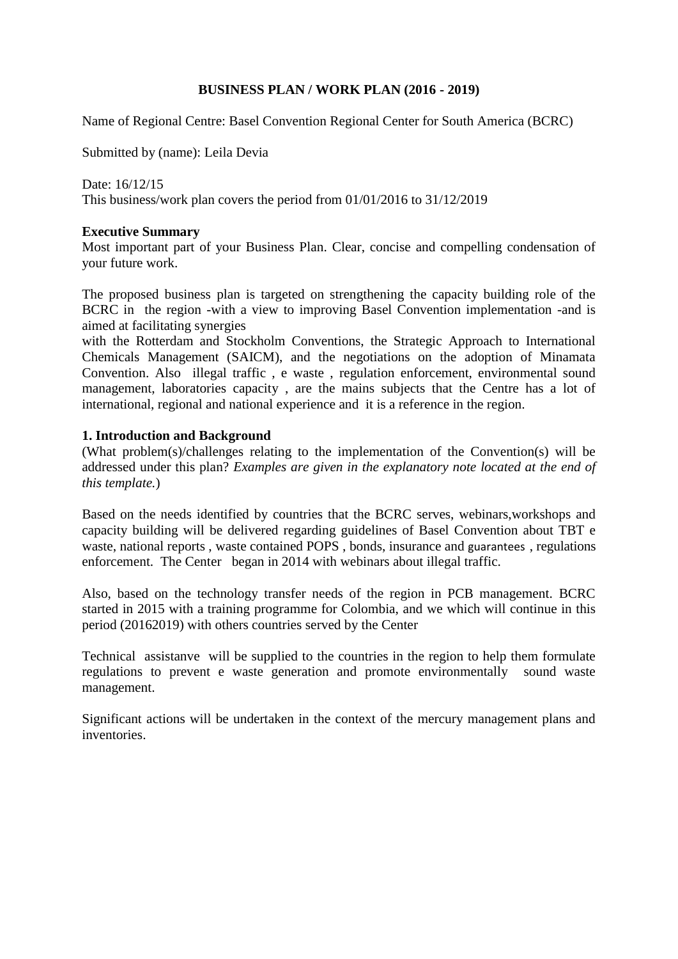# **BUSINESS PLAN / WORK PLAN (2016 - 2019)**

Name of Regional Centre: Basel Convention Regional Center for South America (BCRC)

Submitted by (name): Leila Devia

Date: 16/12/15 This business/work plan covers the period from 01/01/2016 to 31/12/2019

### **Executive Summary**

Most important part of your Business Plan. Clear, concise and compelling condensation of your future work.

The proposed business plan is targeted on strengthening the capacity building role of the BCRC in the region -with a view to improving Basel Convention implementation -and is aimed at facilitating synergies

with the Rotterdam and Stockholm Conventions, the Strategic Approach to International Chemicals Management (SAICM), and the negotiations on the adoption of Minamata Convention. Also illegal traffic , e waste , regulation enforcement, environmental sound management, laboratories capacity , are the mains subjects that the Centre has a lot of international, regional and national experience and it is a reference in the region.

# **1. Introduction and Background**

(What problem(s)/challenges relating to the implementation of the Convention(s) will be addressed under this plan? *Examples are given in the explanatory note located at the end of this template.*)

Based on the needs identified by countries that the BCRC serves, webinars,workshops and capacity building will be delivered regarding guidelines of Basel Convention about TBT e waste, national reports , waste contained POPS , bonds, insurance and guarantees , regulations enforcement. The Center began in 2014 with webinars about illegal traffic.

Also, based on the technology transfer needs of the region in PCB management. BCRC started in 2015 with a training programme for Colombia, and we which will continue in this period (20162019) with others countries served by the Center

Technical assistanve will be supplied to the countries in the region to help them formulate regulations to prevent e waste generation and promote environmentally sound waste management.

Significant actions will be undertaken in the context of the mercury management plans and inventories.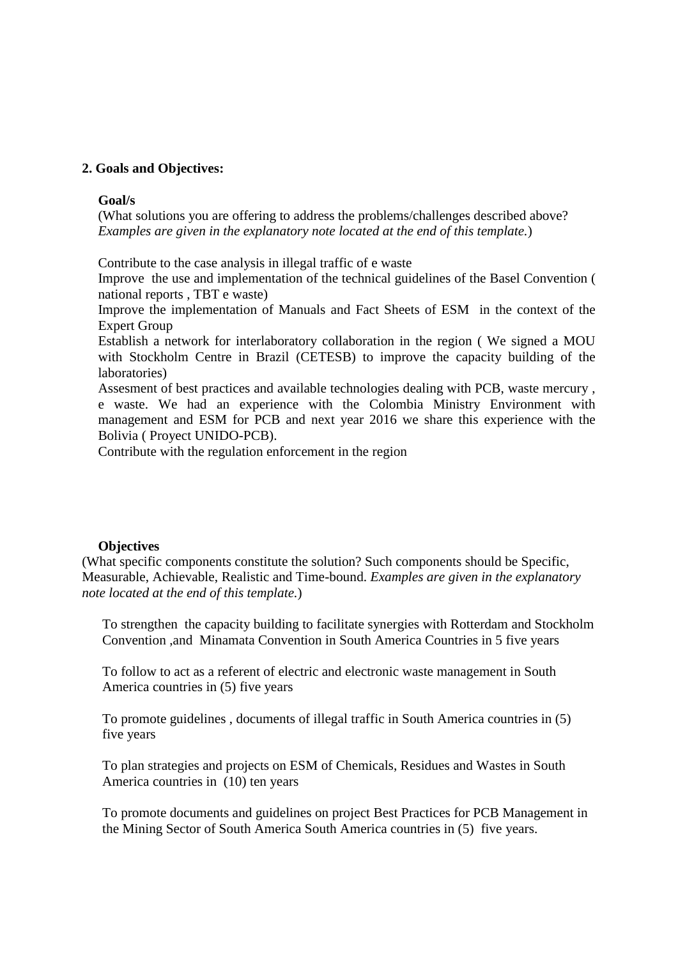# **2. Goals and Objectives:**

#### **Goal/s**

(What solutions you are offering to address the problems/challenges described above? *Examples are given in the explanatory note located at the end of this template.*)

Contribute to the case analysis in illegal traffic of e waste

Improve the use and implementation of the technical guidelines of the Basel Convention ( national reports , TBT e waste)

Improve the implementation of Manuals and Fact Sheets of ESM in the context of the Expert Group

Establish a network for interlaboratory collaboration in the region ( We signed a MOU with Stockholm Centre in Brazil (CETESB) to improve the capacity building of the laboratories)

Assesment of best practices and available technologies dealing with PCB, waste mercury , e waste. We had an experience with the Colombia Ministry Environment with management and ESM for PCB and next year 2016 we share this experience with the Bolivia ( Proyect UNIDO-PCB).

Contribute with the regulation enforcement in the region

#### **Objectives**

(What specific components constitute the solution? Such components should be Specific, Measurable, Achievable, Realistic and Time-bound. *Examples are given in the explanatory note located at the end of this template.*)

To strengthen the capacity building to facilitate synergies with Rotterdam and Stockholm Convention ,and Minamata Convention in South America Countries in 5 five years

To follow to act as a referent of electric and electronic waste management in South America countries in (5) five years

To promote guidelines , documents of illegal traffic in South America countries in (5) five years

To plan strategies and projects on ESM of Chemicals, Residues and Wastes in South America countries in (10) ten years

To promote documents and guidelines on project Best Practices for PCB Management in the Mining Sector of South America South America countries in (5) five years.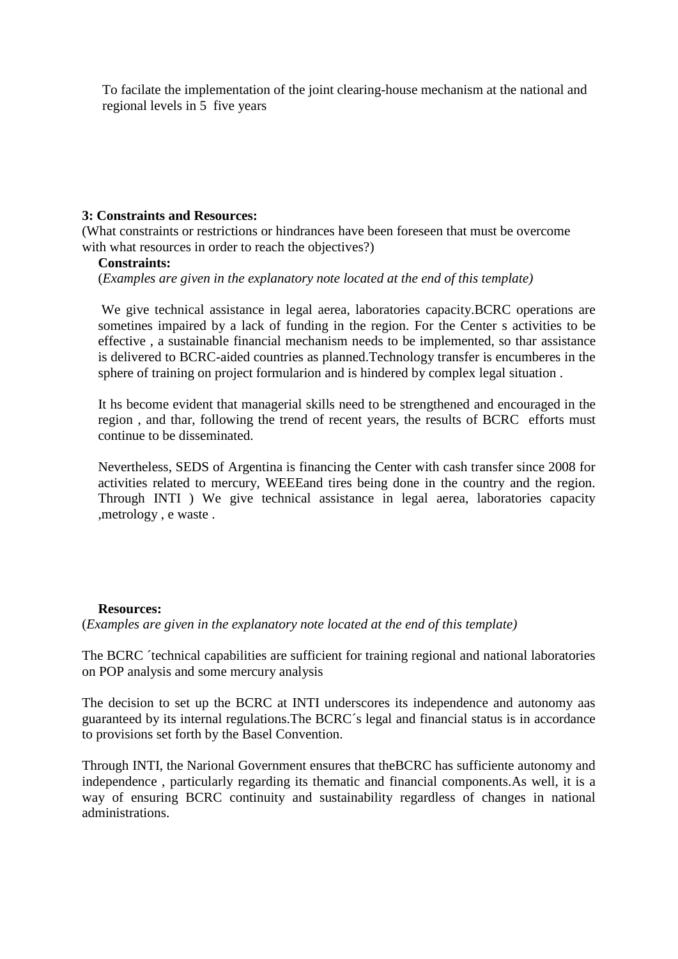To facilate the implementation of the joint clearing-house mechanism at the national and regional levels in 5 five years

### **3: Constraints and Resources:**

(What constraints or restrictions or hindrances have been foreseen that must be overcome with what resources in order to reach the objectives?)

#### **Constraints:**

(*Examples are given in the explanatory note located at the end of this template)*

We give technical assistance in legal aerea, laboratories capacity.BCRC operations are sometines impaired by a lack of funding in the region. For the Center s activities to be effective , a sustainable financial mechanism needs to be implemented, so thar assistance is delivered to BCRC-aided countries as planned.Technology transfer is encumberes in the sphere of training on project formularion and is hindered by complex legal situation .

It hs become evident that managerial skills need to be strengthened and encouraged in the region , and thar, following the trend of recent years, the results of BCRC efforts must continue to be disseminated.

Nevertheless, SEDS of Argentina is financing the Center with cash transfer since 2008 for activities related to mercury, WEEEand tires being done in the country and the region. Through INTI ) We give technical assistance in legal aerea, laboratories capacity ,metrology , e waste .

#### **Resources:**

(*Examples are given in the explanatory note located at the end of this template)*

The BCRC ´technical capabilities are sufficient for training regional and national laboratories on POP analysis and some mercury analysis

The decision to set up the BCRC at INTI underscores its independence and autonomy aas guaranteed by its internal regulations.The BCRC´s legal and financial status is in accordance to provisions set forth by the Basel Convention.

Through INTI, the Narional Government ensures that theBCRC has sufficiente autonomy and independence , particularly regarding its thematic and financial components.As well, it is a way of ensuring BCRC continuity and sustainability regardless of changes in national administrations.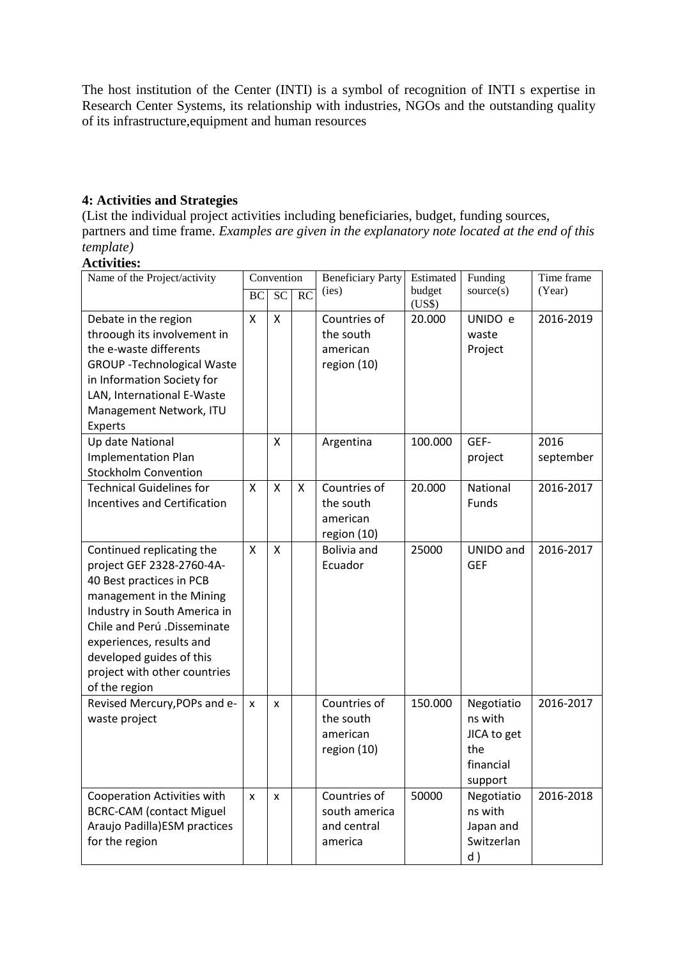The host institution of the Center (INTI) is a symbol of recognition of INTI s expertise in Research Center Systems, its relationship with industries, NGOs and the outstanding quality of its infrastructure,equipment and human resources

# **4: Activities and Strategies**

(List the individual project activities including beneficiaries, budget, funding sources, partners and time frame. *Examples are given in the explanatory note located at the end of this template)*

# **Activities:**

| Name of the Project/activity                                                                                                                                                                                                                                                           | Convention |    |    | <b>Beneficiary Party</b>                                | Estimated        | Funding                                                             | Time frame        |
|----------------------------------------------------------------------------------------------------------------------------------------------------------------------------------------------------------------------------------------------------------------------------------------|------------|----|----|---------------------------------------------------------|------------------|---------------------------------------------------------------------|-------------------|
|                                                                                                                                                                                                                                                                                        | BC         | SC | RC | (ies)                                                   | budget           | source(s)                                                           | (Year)            |
| Debate in the region<br>throough its involvement in<br>the e-waste differents<br><b>GROUP - Technological Waste</b><br>in Information Society for<br>LAN, International E-Waste<br>Management Network, ITU<br>Experts                                                                  | Χ          | x  |    | Countries of<br>the south<br>american<br>region (10)    | (US\$)<br>20.000 | UNIDO e<br>waste<br>Project                                         | 2016-2019         |
| Up date National<br><b>Implementation Plan</b><br><b>Stockholm Convention</b>                                                                                                                                                                                                          |            | Χ  |    | Argentina                                               | 100.000          | GEF-<br>project                                                     | 2016<br>september |
| <b>Technical Guidelines for</b><br><b>Incentives and Certification</b>                                                                                                                                                                                                                 | Χ          | X  | X  | Countries of<br>the south<br>american<br>region (10)    | 20.000           | National<br>Funds                                                   | 2016-2017         |
| Continued replicating the<br>project GEF 2328-2760-4A-<br>40 Best practices in PCB<br>management in the Mining<br>Industry in South America in<br>Chile and Perú .Disseminate<br>experiences, results and<br>developed guides of this<br>project with other countries<br>of the region | X          | Χ  |    | Bolivia and<br>Ecuador                                  | 25000            | UNIDO and<br><b>GEF</b>                                             | 2016-2017         |
| Revised Mercury, POPs and e-<br>waste project                                                                                                                                                                                                                                          | x          | X  |    | Countries of<br>the south<br>american<br>region (10)    | 150.000          | Negotiatio<br>ns with<br>JICA to get<br>the<br>financial<br>support | 2016-2017         |
| Cooperation Activities with<br><b>BCRC-CAM (contact Miguel</b><br>Araujo Padilla) ESM practices<br>for the region                                                                                                                                                                      | X          | X  |    | Countries of<br>south america<br>and central<br>america | 50000            | Negotiatio<br>ns with<br>Japan and<br>Switzerlan<br>d)              | 2016-2018         |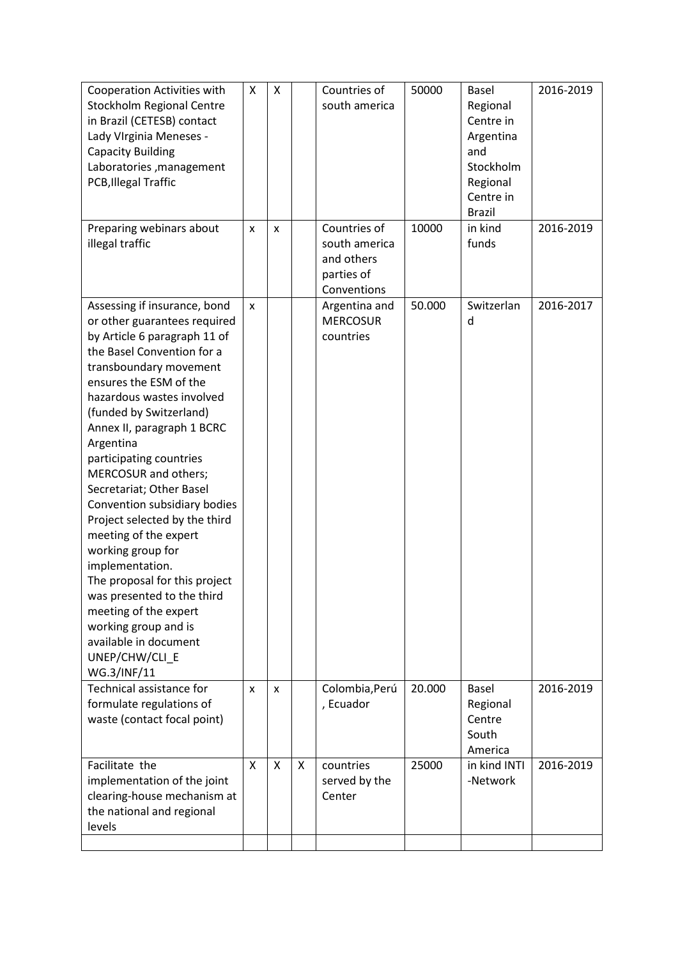| <b>Cooperation Activities with</b><br>Stockholm Regional Centre<br>in Brazil (CETESB) contact<br>Lady VIrginia Meneses -<br><b>Capacity Building</b><br>Laboratories, management<br>PCB, Illegal Traffic<br>Preparing webinars about                                                                                                                                                                                                                                                                                                                                                                                                                                         | X<br>x | x<br>X |   | Countries of<br>south america<br>Countries of            | 50000<br>10000 | Basel<br>Regional<br>Centre in<br>Argentina<br>and<br>Stockholm<br>Regional<br>Centre in<br><b>Brazil</b><br>in kind | 2016-2019<br>2016-2019 |
|------------------------------------------------------------------------------------------------------------------------------------------------------------------------------------------------------------------------------------------------------------------------------------------------------------------------------------------------------------------------------------------------------------------------------------------------------------------------------------------------------------------------------------------------------------------------------------------------------------------------------------------------------------------------------|--------|--------|---|----------------------------------------------------------|----------------|----------------------------------------------------------------------------------------------------------------------|------------------------|
| illegal traffic                                                                                                                                                                                                                                                                                                                                                                                                                                                                                                                                                                                                                                                              |        |        |   | south america<br>and others<br>parties of<br>Conventions |                | funds                                                                                                                |                        |
| Assessing if insurance, bond<br>or other guarantees required<br>by Article 6 paragraph 11 of<br>the Basel Convention for a<br>transboundary movement<br>ensures the ESM of the<br>hazardous wastes involved<br>(funded by Switzerland)<br>Annex II, paragraph 1 BCRC<br>Argentina<br>participating countries<br>MERCOSUR and others;<br>Secretariat; Other Basel<br>Convention subsidiary bodies<br>Project selected by the third<br>meeting of the expert<br>working group for<br>implementation.<br>The proposal for this project<br>was presented to the third<br>meeting of the expert<br>working group and is<br>available in document<br>UNEP/CHW/CLI E<br>WG.3/INF/11 | X      |        |   | Argentina and<br><b>MERCOSUR</b><br>countries            | 50.000         | Switzerlan<br>d                                                                                                      | 2016-2017              |
| Technical assistance for<br>formulate regulations of<br>waste (contact focal point)                                                                                                                                                                                                                                                                                                                                                                                                                                                                                                                                                                                          | x      | X      |   | Colombia, Perú<br>, Ecuador                              | 20.000         | Basel<br>Regional<br>Centre<br>South<br>America                                                                      | 2016-2019              |
| Facilitate the<br>implementation of the joint<br>clearing-house mechanism at<br>the national and regional<br>levels                                                                                                                                                                                                                                                                                                                                                                                                                                                                                                                                                          | X      | X      | X | countries<br>served by the<br>Center                     | 25000          | in kind INTI<br>-Network                                                                                             | 2016-2019              |